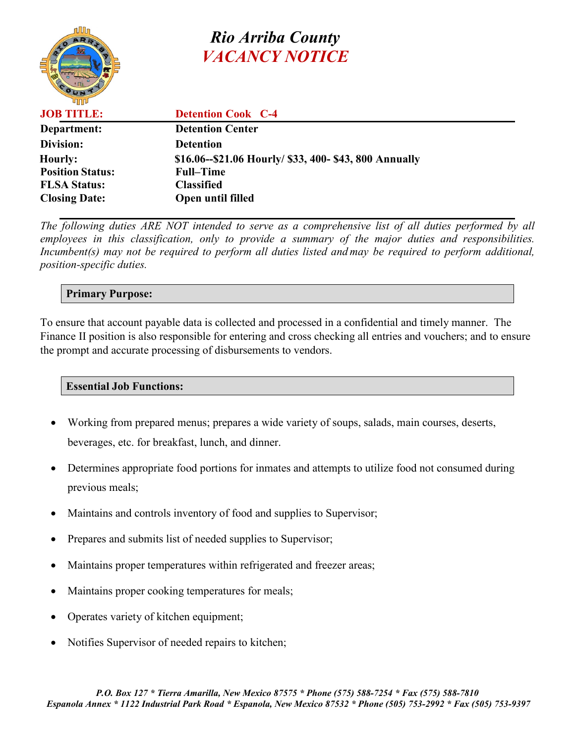# *Rio Arriba County VACANCY NOTICE*



**JOB TITLE: Detention Cook C-4 Department: Detention Center Division: Detention Hourly: \$16.06--\$21.06 Hourly/ \$33, 400- \$43, 800 Annually Position Status: Full–Time FLSA Status: Classified Closing Date: Open until filled** 

*The following duties ARE NOT intended to serve as a comprehensive list of all duties performed by all employees in this classification, only to provide a summary of the major duties and responsibilities. Incumbent(s) may not be required to perform all duties listed and may be required to perform additional, position-specific duties.*

### **Primary Purpose:**

To ensure that account payable data is collected and processed in a confidential and timely manner. The Finance II position is also responsible for entering and cross checking all entries and vouchers; and to ensure the prompt and accurate processing of disbursements to vendors.

### **Essential Job Functions:**

- Working from prepared menus; prepares a wide variety of soups, salads, main courses, deserts, beverages, etc. for breakfast, lunch, and dinner.
- Determines appropriate food portions for inmates and attempts to utilize food not consumed during previous meals;
- Maintains and controls inventory of food and supplies to Supervisor;
- Prepares and submits list of needed supplies to Supervisor;
- Maintains proper temperatures within refrigerated and freezer areas;
- Maintains proper cooking temperatures for meals;
- Operates variety of kitchen equipment;
- Notifies Supervisor of needed repairs to kitchen;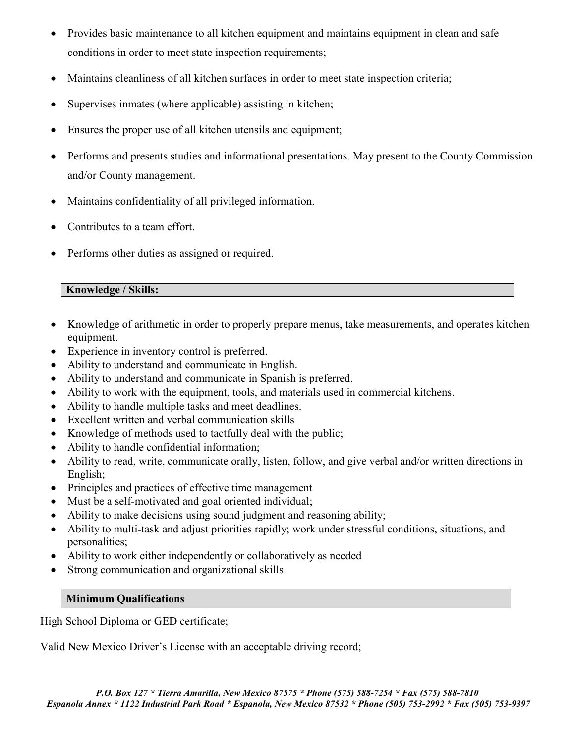- Provides basic maintenance to all kitchen equipment and maintains equipment in clean and safe conditions in order to meet state inspection requirements;
- Maintains cleanliness of all kitchen surfaces in order to meet state inspection criteria;
- Supervises inmates (where applicable) assisting in kitchen;
- Ensures the proper use of all kitchen utensils and equipment;
- Performs and presents studies and informational presentations. May present to the County Commission and/or County management.
- Maintains confidentiality of all privileged information.
- Contributes to a team effort.
- Performs other duties as assigned or required.

### **Knowledge / Skills:**

- Knowledge of arithmetic in order to properly prepare menus, take measurements, and operates kitchen equipment.
- Experience in inventory control is preferred.
- Ability to understand and communicate in English.
- Ability to understand and communicate in Spanish is preferred.
- Ability to work with the equipment, tools, and materials used in commercial kitchens.
- Ability to handle multiple tasks and meet deadlines.
- Excellent written and verbal communication skills
- Knowledge of methods used to tactfully deal with the public;
- Ability to handle confidential information;
- Ability to read, write, communicate orally, listen, follow, and give verbal and/or written directions in English;
- Principles and practices of effective time management
- Must be a self-motivated and goal oriented individual;
- Ability to make decisions using sound judgment and reasoning ability;
- Ability to multi-task and adjust priorities rapidly; work under stressful conditions, situations, and personalities;
- Ability to work either independently or collaboratively as needed
- Strong communication and organizational skills

### **Minimum Qualifications**

High School Diploma or GED certificate;

Valid New Mexico Driver's License with an acceptable driving record;